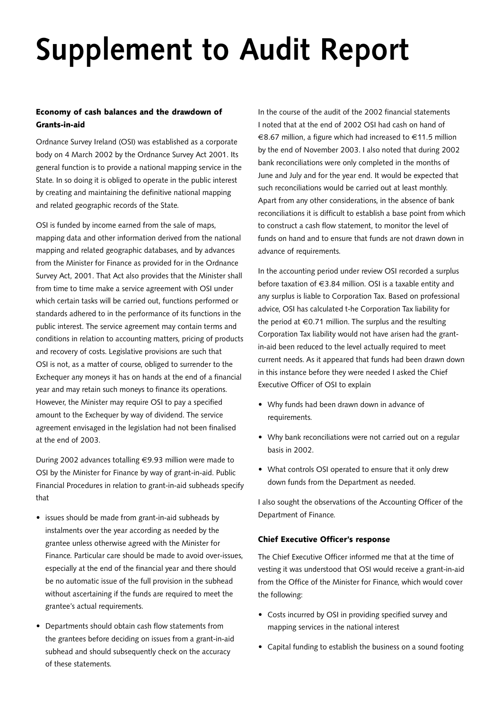## **Supplement to Audit Report**

## Economy of cash balances and the drawdown of Grants-in-aid

Ordnance Survey Ireland (OSI) was established as a corporate body on 4 March 2002 by the Ordnance Survey Act 2001. Its general function is to provide a national mapping service in the State. In so doing it is obliged to operate in the public interest by creating and maintaining the definitive national mapping and related geographic records of the State.

OSI is funded by income earned from the sale of maps, mapping data and other information derived from the national mapping and related geographic databases, and by advances from the Minister for Finance as provided for in the Ordnance Survey Act, 2001. That Act also provides that the Minister shall from time to time make a service agreement with OSI under which certain tasks will be carried out, functions performed or standards adhered to in the performance of its functions in the public interest. The service agreement may contain terms and conditions in relation to accounting matters, pricing of products and recovery of costs. Legislative provisions are such that OSI is not, as a matter of course, obliged to surrender to the Exchequer any moneys it has on hands at the end of a financial year and may retain such moneys to finance its operations. However, the Minister may require OSI to pay a specified amount to the Exchequer by way of dividend. The service agreement envisaged in the legislation had not been finalised at the end of 2003.

During 2002 advances totalling €9.93 million were made to OSI by the Minister for Finance by way of grant-in-aid. Public Financial Procedures in relation to grant-in-aid subheads specify that

- issues should be made from grant-in-aid subheads by instalments over the year according as needed by the grantee unless otherwise agreed with the Minister for Finance. Particular care should be made to avoid over-issues, especially at the end of the financial year and there should be no automatic issue of the full provision in the subhead without ascertaining if the funds are required to meet the grantee's actual requirements.
- Departments should obtain cash flow statements from the grantees before deciding on issues from a grant-in-aid subhead and should subsequently check on the accuracy of these statements.

In the course of the audit of the 2002 financial statements I noted that at the end of 2002 OSI had cash on hand of €8.67 million, a figure which had increased to €11.5 million by the end of November 2003. I also noted that during 2002 bank reconciliations were only completed in the months of June and July and for the year end. It would be expected that such reconciliations would be carried out at least monthly. Apart from any other considerations, in the absence of bank reconciliations it is difficult to establish a base point from which to construct a cash flow statement, to monitor the level of funds on hand and to ensure that funds are not drawn down in advance of requirements.

In the accounting period under review OSI recorded a surplus before taxation of €3.84 million. OSI is a taxable entity and any surplus is liable to Corporation Tax. Based on professional advice, OSI has calculated t-he Corporation Tax liability for the period at  $\in 0.71$  million. The surplus and the resulting Corporation Tax liability would not have arisen had the grantin-aid been reduced to the level actually required to meet current needs. As it appeared that funds had been drawn down in this instance before they were needed I asked the Chief Executive Officer of OSI to explain

- Why funds had been drawn down in advance of requirements.
- Why bank reconciliations were not carried out on a regular basis in 2002.
- What controls OSI operated to ensure that it only drew down funds from the Department as needed.

I also sought the observations of the Accounting Officer of the Department of Finance.

## Chief Executive Officer's response

The Chief Executive Officer informed me that at the time of vesting it was understood that OSI would receive a grant-in-aid from the Office of the Minister for Finance, which would cover the following:

- Costs incurred by OSI in providing specified survey and mapping services in the national interest
- Capital funding to establish the business on a sound footing